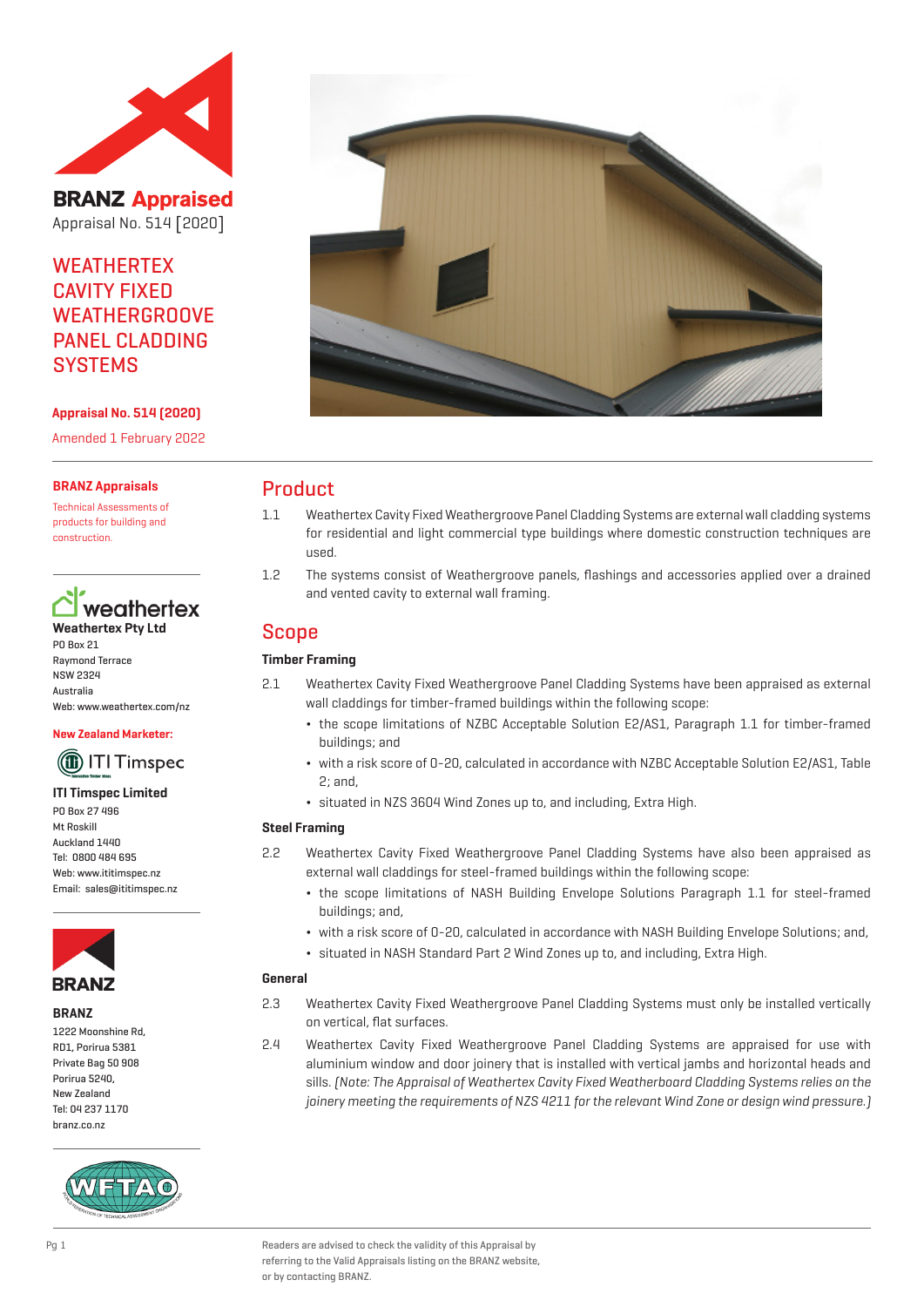

**BRANZ Appraised** Appraisal No. 514 [2020]

# **WEATHERTEX** CAVITY FIXED WEATHERGROOVE PANEL CLADDING **SYSTEMS**

## **Appraisal No. 514 (2020)**

Amended 1 February 2022

#### **BRANZ Appraisals**

Technical Assessments of products for building and construction.



PO Box 21 Raymond Terrace NSW 2324 Australia Web: www.weathertex.com/nz

#### **New Zealand Marketer:**

# (1) ITI Timspec

#### **ITI Timspec Limited** PO Box 27 496

Mt Roskill Auckland 1440 Tel: 0800 484 695 Web: www.ititimspec.nz Email: sales@ititimspec.nz



#### **BRANZ**

1222 Moonshine Rd, RD1, Porirua 5381 Private Bag 50 908 Porirua 5240, New Zealand Tel: 04 237 1170 branz.co.nz





## Product

- 1.1 Weathertex Cavity Fixed Weathergroove Panel Cladding Systems are external wall cladding systems for residential and light commercial type buildings where domestic construction techniques are used.
- 1.2 The systems consist of Weathergroove panels, flashings and accessories applied over a drained and vented cavity to external wall framing.

## Scope

## **Timber Framing**

- 2.1 Weathertex Cavity Fixed Weathergroove Panel Cladding Systems have been appraised as external wall claddings for timber-framed buildings within the following scope:
	- ¬ the scope limitations of NZBC Acceptable Solution E2/AS1, Paragraph 1.1 for timber-framed buildings; and
	- ¬ with a risk score of 0-20, calculated in accordance with NZBC Acceptable Solution E2/AS1, Table 2; and,
	- ¬ situated in NZS 3604 Wind Zones up to, and including, Extra High.

## **Steel Framing**

- 2.2 Weathertex Cavity Fixed Weathergroove Panel Cladding Systems have also been appraised as external wall claddings for steel-framed buildings within the following scope:
	- ¬ the scope limitations of NASH Building Envelope Solutions Paragraph 1.1 for steel-framed buildings; and,
	- ¬ with a risk score of 0-20, calculated in accordance with NASH Building Envelope Solutions; and,
	- ¬ situated in NASH Standard Part 2 Wind Zones up to, and including, Extra High.

#### **General**

- 2.3 Weathertex Cavity Fixed Weathergroove Panel Cladding Systems must only be installed vertically on vertical, flat surfaces.
- 2.4 Weathertex Cavity Fixed Weathergroove Panel Cladding Systems are appraised for use with aluminium window and door joinery that is installed with vertical jambs and horizontal heads and sills. (Note: The Appraisal of Weathertex Cavity Fixed Weatherboard Cladding Systems relies on the joinery meeting the requirements of NZS 4211 for the relevant Wind Zone or design wind pressure.]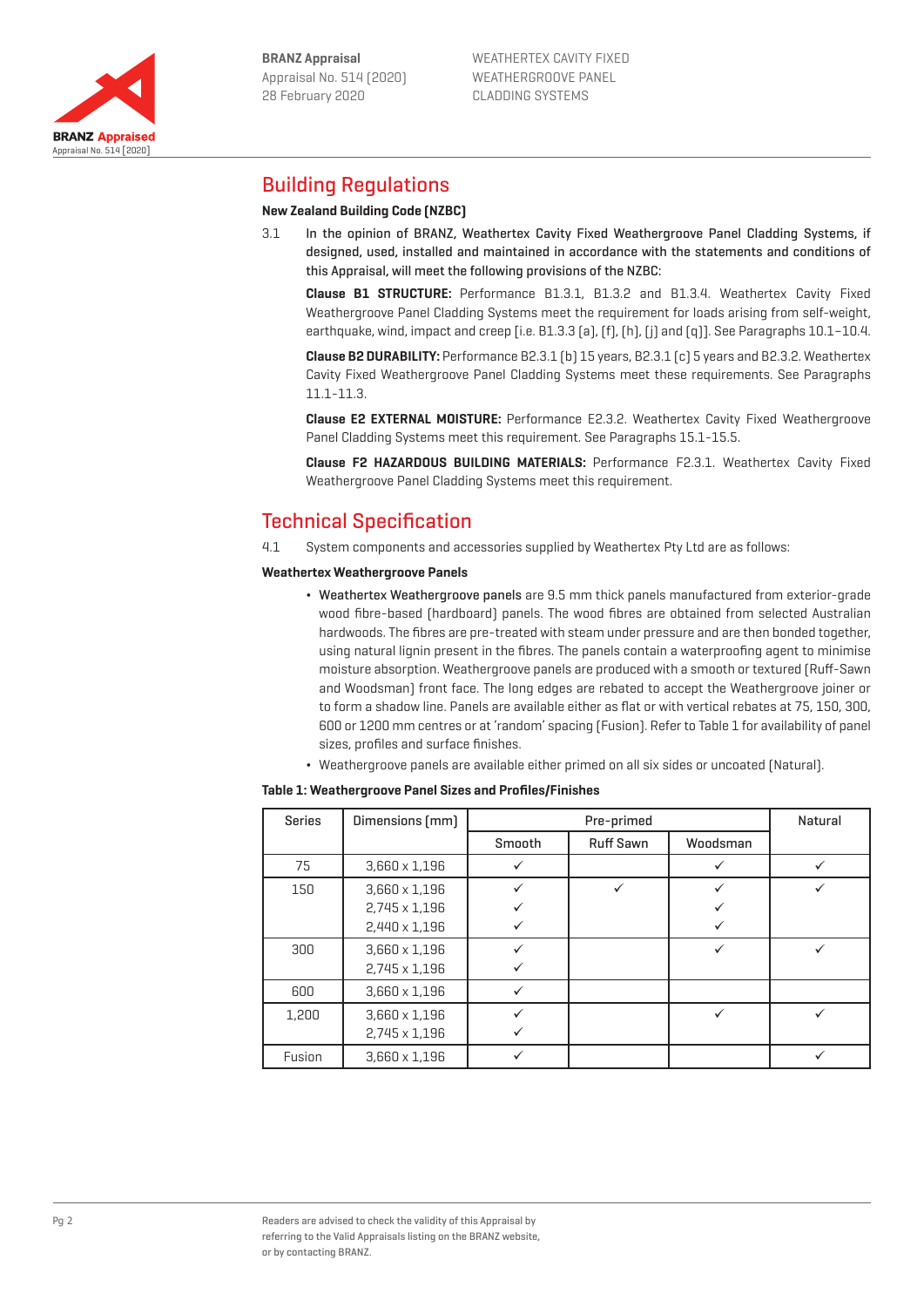

Appraisal No. 514 [2020]

**BRANZ Appraised** 



## Building Regulations

## **New Zealand Building Code (NZBC)**

3.1 In the opinion of BRANZ, Weathertex Cavity Fixed Weathergroove Panel Cladding Systems, if designed, used, installed and maintained in accordance with the statements and conditions of this Appraisal, will meet the following provisions of the NZBC:

**Clause B1 STRUCTURE:** Performance B1.3.1, B1.3.2 and B1.3.4. Weathertex Cavity Fixed Weathergroove Panel Cladding Systems meet the requirement for loads arising from self-weight, earthquake, wind, impact and creep [i.e. B1.3.3 (a), (f), (h), (j) and (q)]. See Paragraphs 10.1–10.4.

**Clause B2 DURABILITY:** Performance B2.3.1 (b) 15 years, B2.3.1 (c) 5 years and B2.3.2. Weathertex Cavity Fixed Weathergroove Panel Cladding Systems meet these requirements. See Paragraphs 11.1-11.3.

**Clause E2 EXTERNAL MOISTURE:** Performance E2.3.2. Weathertex Cavity Fixed Weathergroove Panel Cladding Systems meet this requirement. See Paragraphs 15.1-15.5.

**Clause F2 HAZARDOUS BUILDING MATERIALS:** Performance F2.3.1. Weathertex Cavity Fixed Weathergroove Panel Cladding Systems meet this requirement.

# Technical Specification

4.1 System components and accessories supplied by Weathertex Pty Ltd are as follows:

#### **Weathertex Weathergroove Panels**

- ¬ Weathertex Weathergroove panels are 9.5 mm thick panels manufactured from exterior-grade wood fibre-based (hardboard) panels. The wood fibres are obtained from selected Australian hardwoods. The fibres are pre-treated with steam under pressure and are then bonded together, using natural lignin present in the fibres. The panels contain a waterproofing agent to minimise moisture absorption. Weathergroove panels are produced with a smooth or textured (Ruff-Sawn and Woodsman) front face. The long edges are rebated to accept the Weathergroove joiner or to form a shadow line. Panels are available either as flat or with vertical rebates at 75, 150, 300, 600 or 1200 mm centres or at 'random' spacing (Fusion). Refer to Table 1 for availability of panel sizes, profiles and surface finishes.
- ¬ Weathergroove panels are available either primed on all six sides or uncoated (Natural).

#### **Table 1: Weathergroove Panel Sizes and Profiles/Finishes**

| <b>Series</b> | Dimensions [mm]      | Pre-primed |                  |          | Natural |
|---------------|----------------------|------------|------------------|----------|---------|
|               |                      | Smooth     | <b>Ruff Sawn</b> | Woodsman |         |
| 75            | $3,660 \times 1,196$ |            |                  |          |         |
| 150           | $3,660 \times 1,196$ |            |                  |          |         |
|               | 2,745 x 1,196        |            |                  |          |         |
|               | 2,440 x 1,196        |            |                  |          |         |
| 300           | $3,660 \times 1,196$ |            |                  |          |         |
|               | 2,745 x 1,196        |            |                  |          |         |
| 600           | $3,660 \times 1,196$ |            |                  |          |         |
| 1,200         | $3,660 \times 1,196$ |            |                  |          |         |
|               | 2,745 x 1,196        |            |                  |          |         |
| Fusion        | $3.660 \times 1.196$ |            |                  |          |         |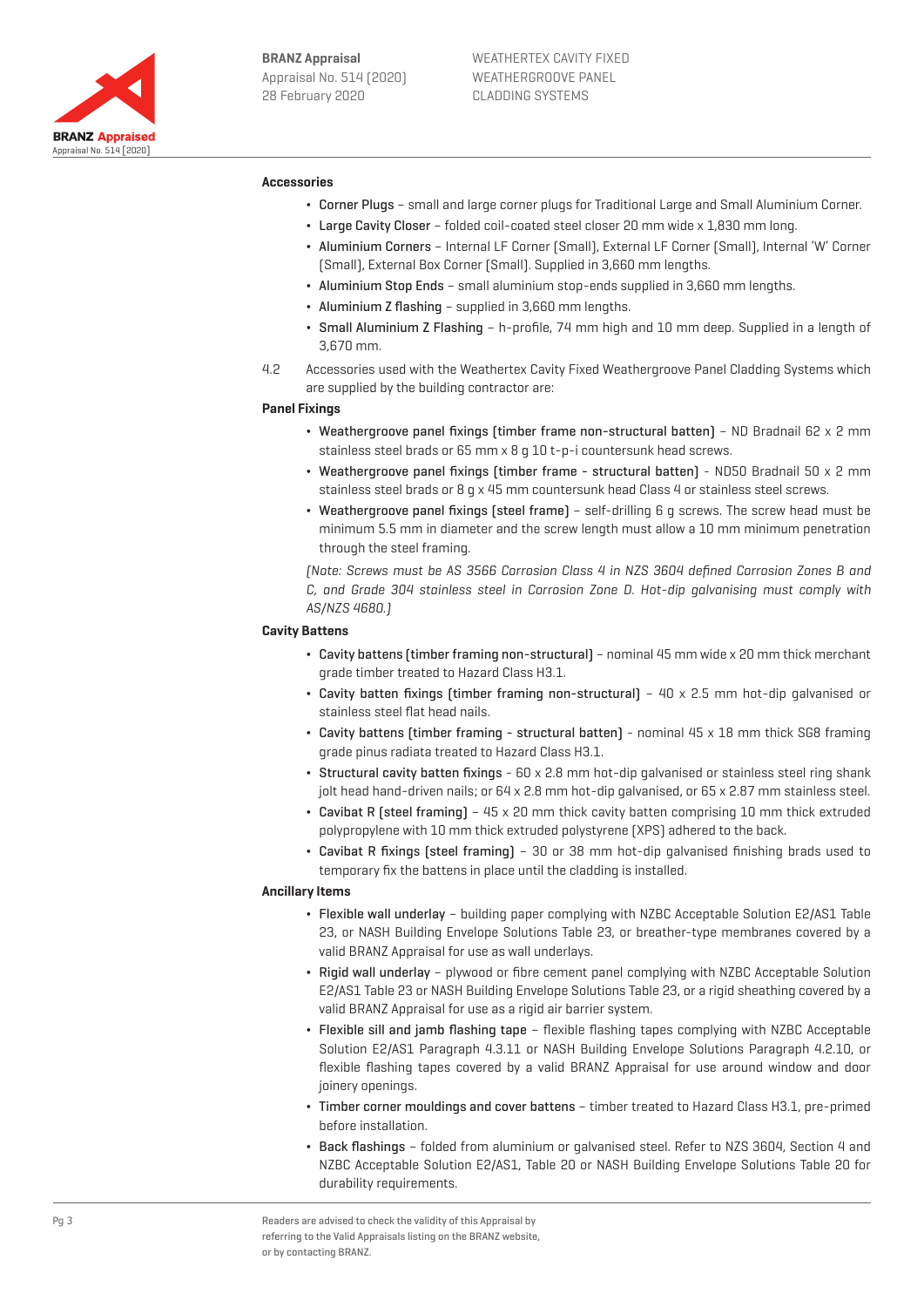

#### **Accessories**

- ¬ Corner Plugs small and large corner plugs for Traditional Large and Small Aluminium Corner.
- ¬ Large Cavity Closer folded coil-coated steel closer 20 mm wide x 1,830 mm long.
- ¬ Aluminium Corners Internal LF Corner (Small), External LF Corner (Small), Internal 'W' Corner (Small), External Box Corner (Small). Supplied in 3,660 mm lengths.
- ¬ Aluminium Stop Ends small aluminium stop-ends supplied in 3,660 mm lengths.
- Aluminium Z flashing supplied in 3,660 mm lengths.
- ¬ Small Aluminium Z Flashing h-profile, 74 mm high and 10 mm deep. Supplied in a length of 3,670 mm.
- 4.2 Accessories used with the Weathertex Cavity Fixed Weathergroove Panel Cladding Systems which are supplied by the building contractor are:

#### **Panel Fixings**

- ¬ Weathergroove panel fixings (timber frame non-structural batten) ND Bradnail 62 x 2 mm stainless steel brads or 65 mm x 8 g 10 t-p-i countersunk head screws.
- ¬ Weathergroove panel fixings (timber frame structural batten) ND50 Bradnail 50 x 2 mm stainless steel brads or 8 g x 45 mm countersunk head Class 4 or stainless steel screws.
- ¬ Weathergroove panel fixings (steel frame) self-drilling 6 g screws. The screw head must be minimum 5.5 mm in diameter and the screw length must allow a 10 mm minimum penetration through the steel framing.

(Note: Screws must be AS 3566 Corrosion Class 4 in NZS 3604 defined Corrosion Zones B and C, and Grade 304 stainless steel in Corrosion Zone D. Hot-dip galvanising must comply with AS/NZS 4680.)

#### **Cavity Battens**

- ¬ Cavity battens (timber framing non-structural) nominal 45 mm wide x 20 mm thick merchant grade timber treated to Hazard Class H3.1.
- Cavity batten fixings (timber framing non-structural)  $40 \times 2.5$  mm hot-dip galvanised or stainless steel flat head nails.
- ¬ Cavity battens (timber framing structural batten) nominal 45 x 18 mm thick SG8 framing grade pinus radiata treated to Hazard Class H3.1.
- Structural cavity batten fixings 60 x 2.8 mm hot-dip galvanised or stainless steel ring shank jolt head hand-driven nails; or 64 x 2.8 mm hot-dip galvanised, or 65 x 2.87 mm stainless steel.
- ¬ Cavibat R (steel framing) 45 x 20 mm thick cavity batten comprising 10 mm thick extruded polypropylene with 10 mm thick extruded polystyrene (XPS) adhered to the back.
- ¬ Cavibat R fixings (steel framing) 30 or 38 mm hot-dip galvanised finishing brads used to temporary fix the battens in place until the cladding is installed.

### **Ancillary Items**

- ¬ Flexible wall underlay building paper complying with NZBC Acceptable Solution E2/AS1 Table 23, or NASH Building Envelope Solutions Table 23, or breather-type membranes covered by a valid BRANZ Appraisal for use as wall underlays.
- ¬ Rigid wall underlay plywood or fibre cement panel complying with NZBC Acceptable Solution E2/AS1 Table 23 or NASH Building Envelope Solutions Table 23, or a rigid sheathing covered by a valid BRANZ Appraisal for use as a rigid air barrier system.
- ¬ Flexible sill and jamb flashing tape flexible flashing tapes complying with NZBC Acceptable Solution E2/AS1 Paragraph 4.3.11 or NASH Building Envelope Solutions Paragraph 4.2.10, or flexible flashing tapes covered by a valid BRANZ Appraisal for use around window and door joinery openings.
- ¬ Timber corner mouldings and cover battens timber treated to Hazard Class H3.1, pre-primed before installation.
- ¬ Back flashings folded from aluminium or galvanised steel. Refer to NZS 3604, Section 4 and NZBC Acceptable Solution E2/AS1, Table 20 or NASH Building Envelope Solutions Table 20 for durability requirements.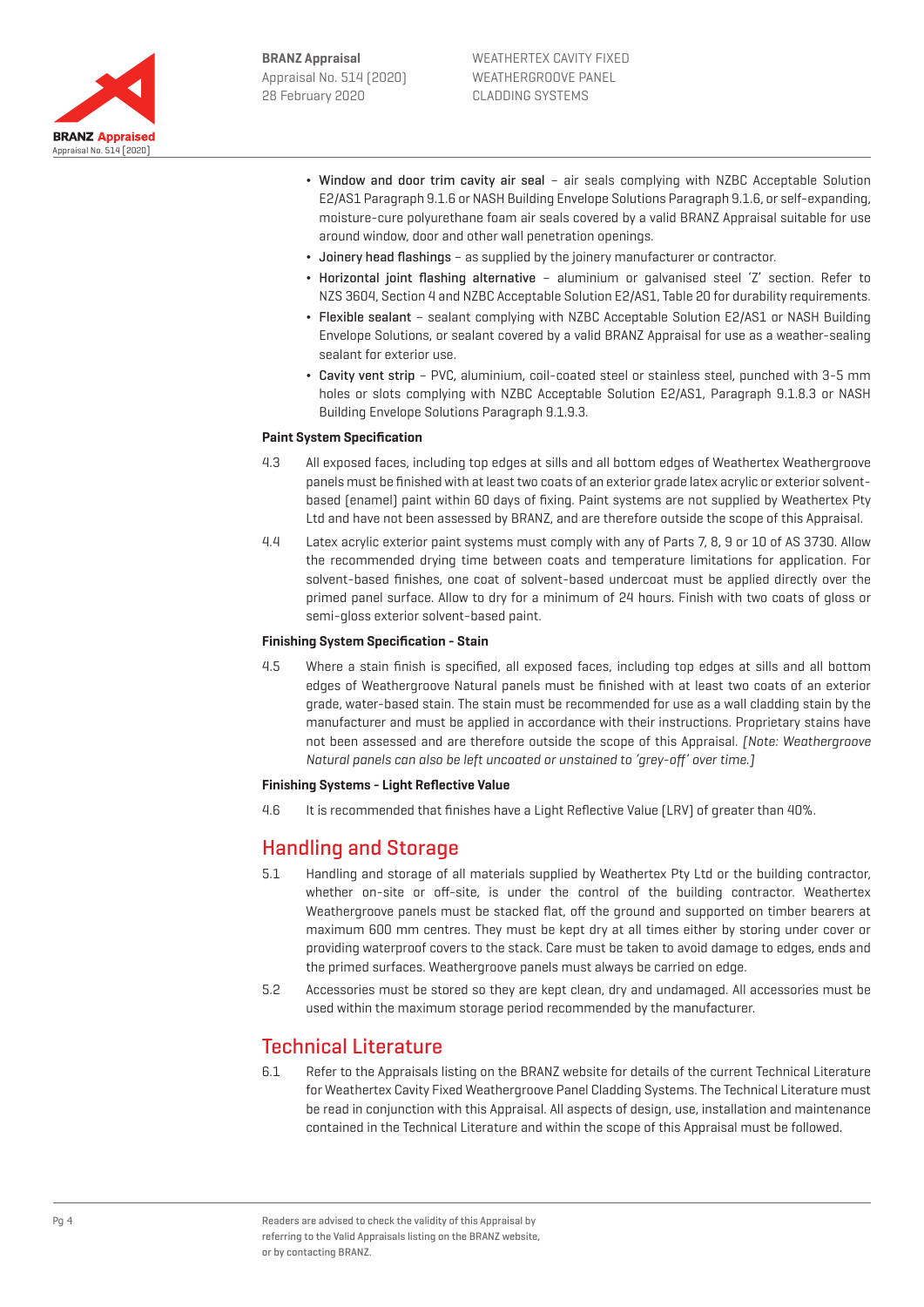

- ¬ Window and door trim cavity air seal air seals complying with NZBC Acceptable Solution E2/AS1 Paragraph 9.1.6 or NASH Building Envelope Solutions Paragraph 9.1.6, or self-expanding, moisture-cure polyurethane foam air seals covered by a valid BRANZ Appraisal suitable for use around window, door and other wall penetration openings.
- ¬ Joinery head flashings as supplied by the joinery manufacturer or contractor.
- ¬ Horizontal joint flashing alternative aluminium or galvanised steel 'Z' section. Refer to NZS 3604, Section 4 and NZBC Acceptable Solution E2/AS1, Table 20 for durability requirements.
- ¬ Flexible sealant sealant complying with NZBC Acceptable Solution E2/AS1 or NASH Building Envelope Solutions, or sealant covered by a valid BRANZ Appraisal for use as a weather-sealing sealant for exterior use.
- ¬ Cavity vent strip PVC, aluminium, coil-coated steel or stainless steel, punched with 3-5 mm holes or slots complying with NZBC Acceptable Solution E2/AS1, Paragraph 9.1.8.3 or NASH Building Envelope Solutions Paragraph 9.1.9.3.

## **Paint System Specification**

- 4.3 All exposed faces, including top edges at sills and all bottom edges of Weathertex Weathergroove panels must be finished with at least two coats of an exterior grade latex acrylic or exterior solventbased (enamel) paint within 60 days of fixing. Paint systems are not supplied by Weathertex Pty Ltd and have not been assessed by BRANZ, and are therefore outside the scope of this Appraisal.
- 4.4 Latex acrylic exterior paint systems must comply with any of Parts 7, 8, 9 or 10 of AS 3730. Allow the recommended drying time between coats and temperature limitations for application. For solvent-based finishes, one coat of solvent-based undercoat must be applied directly over the primed panel surface. Allow to dry for a minimum of 24 hours. Finish with two coats of gloss or semi-gloss exterior solvent-based paint.

#### **Finishing System Specification - Stain**

4.5 Where a stain finish is specified, all exposed faces, including top edges at sills and all bottom edges of Weathergroove Natural panels must be finished with at least two coats of an exterior grade, water-based stain. The stain must be recommended for use as a wall cladding stain by the manufacturer and must be applied in accordance with their instructions. Proprietary stains have not been assessed and are therefore outside the scope of this Appraisal. [Note: Weathergroove Natural panels can also be left uncoated or unstained to 'grey-off' over time.]

#### **Finishing Systems - Light Reflective Value**

4.6 It is recommended that finishes have a Light Reflective Value (LRV) of greater than 40%.

## Handling and Storage

- 5.1 Handling and storage of all materials supplied by Weathertex Pty Ltd or the building contractor, whether on-site or off-site, is under the control of the building contractor. Weathertex Weathergroove panels must be stacked flat, off the ground and supported on timber bearers at maximum 600 mm centres. They must be kept dry at all times either by storing under cover or providing waterproof covers to the stack. Care must be taken to avoid damage to edges, ends and the primed surfaces. Weathergroove panels must always be carried on edge.
- 5.2 Accessories must be stored so they are kept clean, dry and undamaged. All accessories must be used within the maximum storage period recommended by the manufacturer.

## Technical Literature

6.1 Refer to the Appraisals listing on the BRANZ website for details of the current Technical Literature for Weathertex Cavity Fixed Weathergroove Panel Cladding Systems. The Technical Literature must be read in conjunction with this Appraisal. All aspects of design, use, installation and maintenance contained in the Technical Literature and within the scope of this Appraisal must be followed.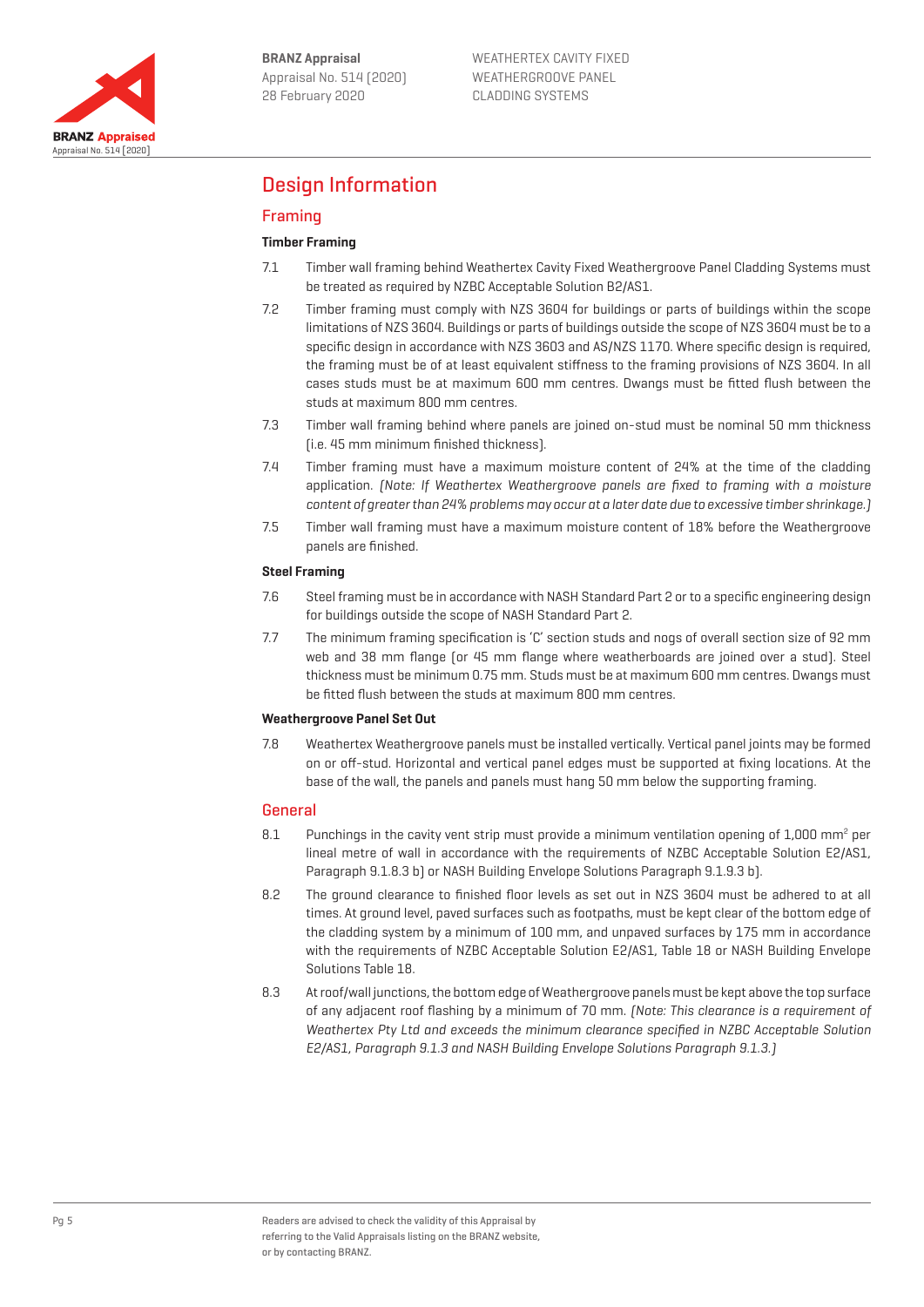

# Design Information

## Framing

## **Timber Framing**

- 7.1 Timber wall framing behind Weathertex Cavity Fixed Weathergroove Panel Cladding Systems must be treated as required by NZBC Acceptable Solution B2/AS1.
- 7.2 Timber framing must comply with NZS 3604 for buildings or parts of buildings within the scope limitations of NZS 3604. Buildings or parts of buildings outside the scope of NZS 3604 must be to a specific design in accordance with NZS 3603 and AS/NZS 1170. Where specific design is required, the framing must be of at least equivalent stiffness to the framing provisions of NZS 3604. In all cases studs must be at maximum 600 mm centres. Dwangs must be fitted flush between the studs at maximum 800 mm centres.
- 7.3 Timber wall framing behind where panels are joined on-stud must be nominal 50 mm thickness (i.e. 45 mm minimum finished thickness).
- 7.4 Timber framing must have a maximum moisture content of 24% at the time of the cladding application. (Note: If Weathertex Weathergroove panels are fixed to framing with a moisture content of greater than 24% problems may occur at a later date due to excessive timber shrinkage.)
- 7.5 Timber wall framing must have a maximum moisture content of 18% before the Weathergroove panels are finished.

## **Steel Framing**

- 7.6 Steel framing must be in accordance with NASH Standard Part 2 or to a specific engineering design for buildings outside the scope of NASH Standard Part 2.
- 7.7 The minimum framing specification is 'C' section studs and nogs of overall section size of 92 mm web and 38 mm flange (or 45 mm flange where weatherboards are joined over a stud). Steel thickness must be minimum 0.75 mm. Studs must be at maximum 600 mm centres. Dwangs must be fitted flush between the studs at maximum 800 mm centres.

## **Weathergroove Panel Set Out**

7.8 Weathertex Weathergroove panels must be installed vertically. Vertical panel joints may be formed on or off-stud. Horizontal and vertical panel edges must be supported at fixing locations. At the base of the wall, the panels and panels must hang 50 mm below the supporting framing.

## General

- 8.1 Punchings in the cavity vent strip must provide a minimum ventilation opening of 1,000 mm<sup>2</sup> per lineal metre of wall in accordance with the requirements of NZBC Acceptable Solution E2/AS1, Paragraph 9.1.8.3 b) or NASH Building Envelope Solutions Paragraph 9.1.9.3 b).
- 8.2 The ground clearance to finished floor levels as set out in NZS 3604 must be adhered to at all times. At ground level, paved surfaces such as footpaths, must be kept clear of the bottom edge of the cladding system by a minimum of 100 mm, and unpaved surfaces by 175 mm in accordance with the requirements of NZBC Acceptable Solution E2/AS1, Table 18 or NASH Building Envelope Solutions Table 18.
- 8.3 At roof/wall junctions, the bottom edge of Weathergroove panels must be kept above the top surface of any adjacent roof flashing by a minimum of 70 mm. (Note: This clearance is a requirement of Weathertex Pty Ltd and exceeds the minimum clearance specified in NZBC Acceptable Solution E2/AS1, Paragraph 9.1.3 and NASH Building Envelope Solutions Paragraph 9.1.3.)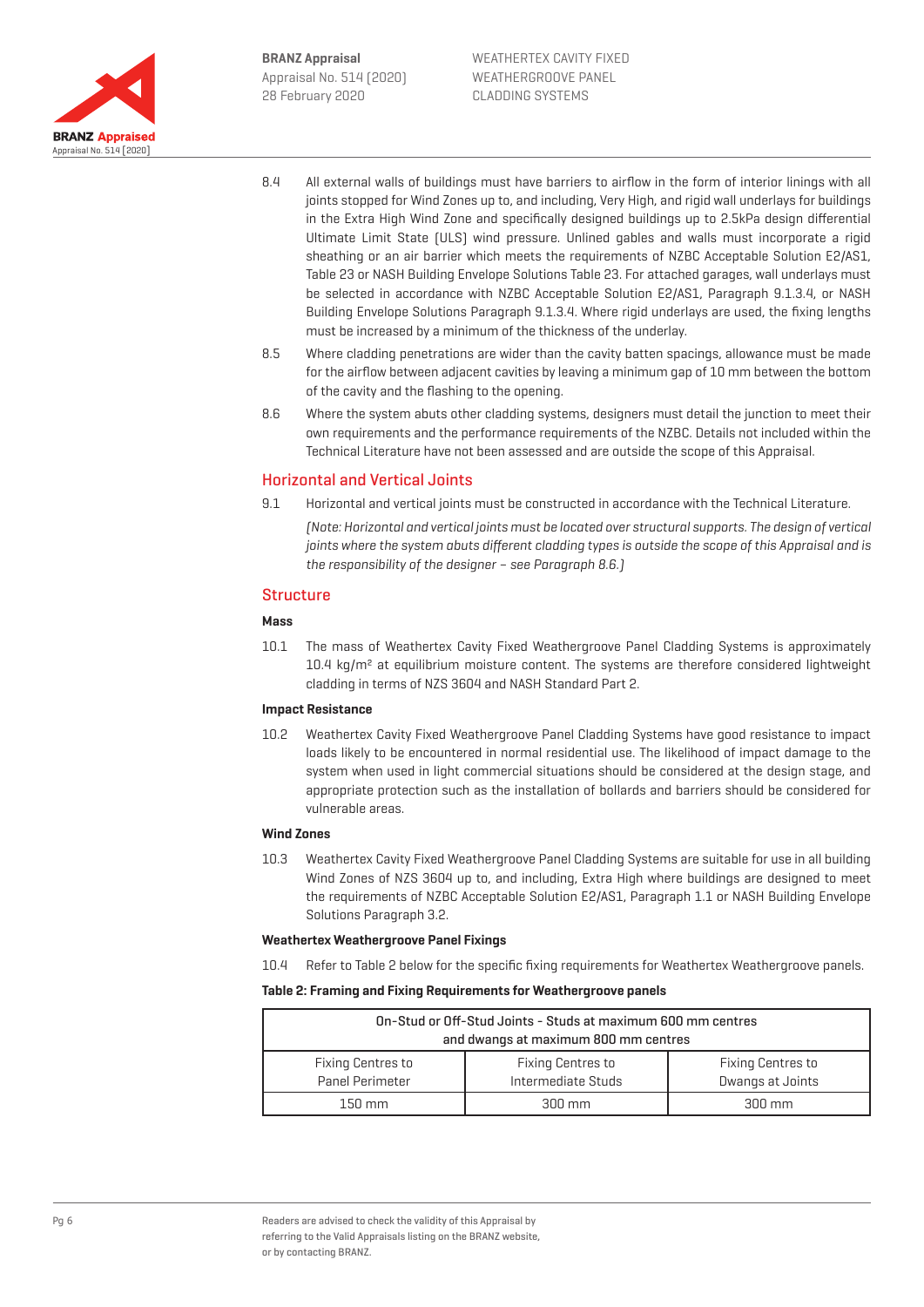

- 8.4 All external walls of buildings must have barriers to airflow in the form of interior linings with all joints stopped for Wind Zones up to, and including, Very High, and rigid wall underlays for buildings in the Extra High Wind Zone and specifically designed buildings up to 2.5kPa design differential Ultimate Limit State (ULS) wind pressure. Unlined gables and walls must incorporate a rigid sheathing or an air barrier which meets the requirements of NZBC Acceptable Solution E2/AS1, Table 23 or NASH Building Envelope Solutions Table 23. For attached garages, wall underlays must be selected in accordance with NZBC Acceptable Solution E2/AS1, Paragraph 9.1.3.4, or NASH Building Envelope Solutions Paragraph 9.1.3.4. Where rigid underlays are used, the fixing lengths must be increased by a minimum of the thickness of the underlay.
- 8.5 Where cladding penetrations are wider than the cavity batten spacings, allowance must be made for the airflow between adjacent cavities by leaving a minimum gap of 10 mm between the bottom of the cavity and the flashing to the opening.
- 8.6 Where the system abuts other cladding systems, designers must detail the junction to meet their own requirements and the performance requirements of the NZBC. Details not included within the Technical Literature have not been assessed and are outside the scope of this Appraisal.

## Horizontal and Vertical Joints

9.1 Horizontal and vertical joints must be constructed in accordance with the Technical Literature.

(Note: Horizontal and vertical joints must be located over structural supports. The design of vertical joints where the system abuts different cladding types is outside the scope of this Appraisal and is the responsibility of the designer – see Paragraph 8.6.)

## **Structure**

#### **Mass**

10.1 The mass of Weathertex Cavity Fixed Weathergroove Panel Cladding Systems is approximately 10.4 kg/m<sup>2</sup> at equilibrium moisture content. The systems are therefore considered lightweight cladding in terms of NZS 3604 and NASH Standard Part 2.

#### **Impact Resistance**

10.2 Weathertex Cavity Fixed Weathergroove Panel Cladding Systems have good resistance to impact loads likely to be encountered in normal residential use. The likelihood of impact damage to the system when used in light commercial situations should be considered at the design stage, and appropriate protection such as the installation of bollards and barriers should be considered for vulnerable areas.

## **Wind Zones**

10.3 Weathertex Cavity Fixed Weathergroove Panel Cladding Systems are suitable for use in all building Wind Zones of NZS 3604 up to, and including, Extra High where buildings are designed to meet the requirements of NZBC Acceptable Solution E2/AS1, Paragraph 1.1 or NASH Building Envelope Solutions Paragraph 3.2.

#### **Weathertex Weathergroove Panel Fixings**

10.4 Refer to Table 2 below for the specific fixing requirements for Weathertex Weathergroove panels.

#### **Table 2: Framing and Fixing Requirements for Weathergroove panels**

| On-Stud or Off-Stud Joints - Studs at maximum 600 mm centres<br>and dwangs at maximum 800 mm centres |                          |                          |  |  |  |
|------------------------------------------------------------------------------------------------------|--------------------------|--------------------------|--|--|--|
| <b>Fixing Centres to</b>                                                                             | <b>Fixing Centres to</b> | <b>Fixing Centres to</b> |  |  |  |
| Panel Perimeter                                                                                      | Intermediate Studs       | Dwangs at Joints         |  |  |  |
| $150 \text{ mm}$                                                                                     | $300 \text{ mm}$         | $300 \text{ mm}$         |  |  |  |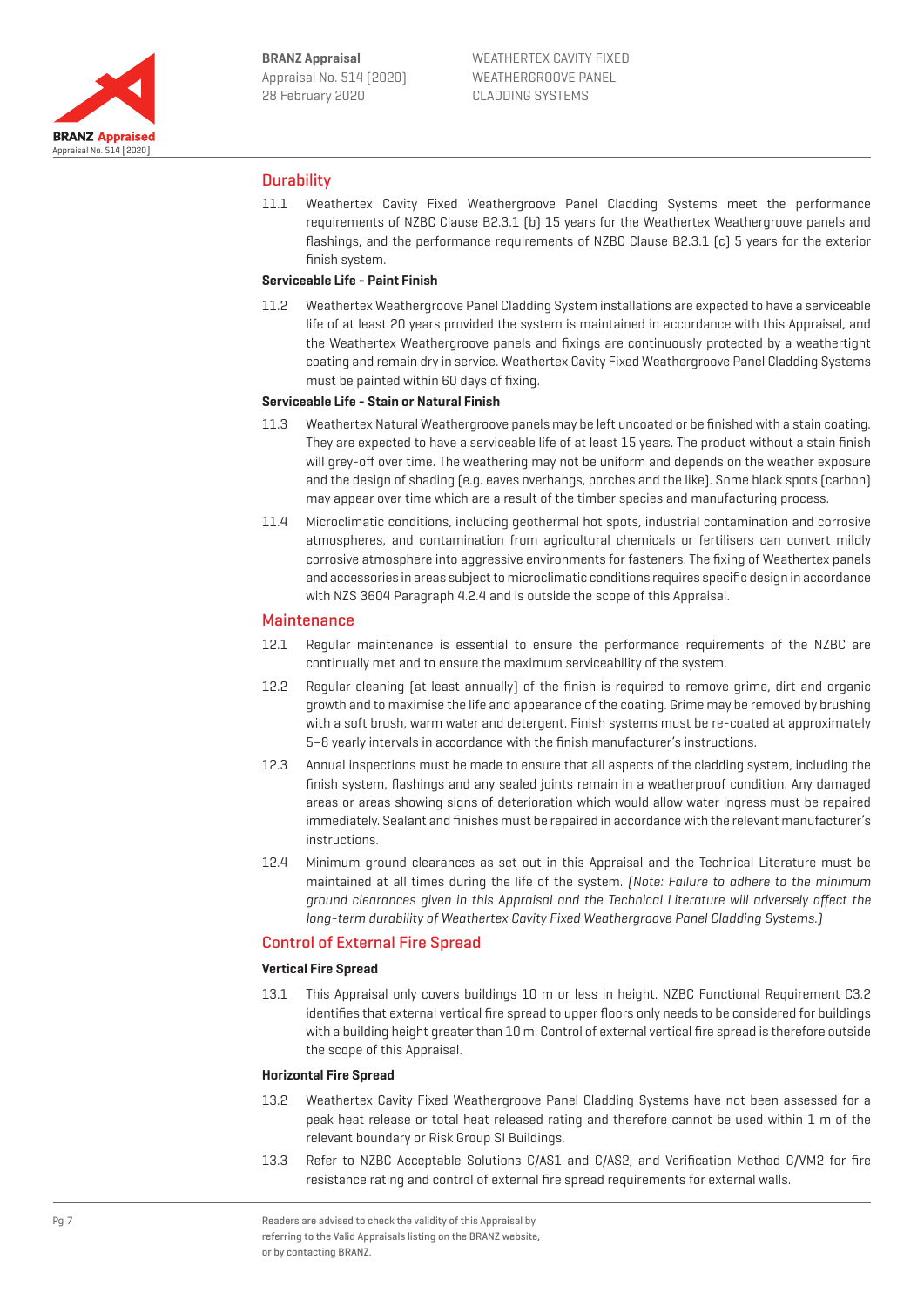

## **Durability**

11.1 Weathertex Cavity Fixed Weathergroove Panel Cladding Systems meet the performance requirements of NZBC Clause B2.3.1 (b) 15 years for the Weathertex Weathergroove panels and flashings, and the performance requirements of NZBC Clause B2.3.1 (c) 5 years for the exterior finish system.

## **Serviceable Life - Paint Finish**

11.2 Weathertex Weathergroove Panel Cladding System installations are expected to have a serviceable life of at least 20 years provided the system is maintained in accordance with this Appraisal, and the Weathertex Weathergroove panels and fixings are continuously protected by a weathertight coating and remain dry in service. Weathertex Cavity Fixed Weathergroove Panel Cladding Systems must be painted within 60 days of fixing.

## **Serviceable Life - Stain or Natural Finish**

- 11.3 Weathertex Natural Weathergroove panels may be left uncoated or be finished with a stain coating. They are expected to have a serviceable life of at least 15 years. The product without a stain finish will grey-off over time. The weathering may not be uniform and depends on the weather exposure and the design of shading (e.g. eaves overhangs, porches and the like). Some black spots (carbon) may appear over time which are a result of the timber species and manufacturing process.
- 11.4 Microclimatic conditions, including geothermal hot spots, industrial contamination and corrosive atmospheres, and contamination from agricultural chemicals or fertilisers can convert mildly corrosive atmosphere into aggressive environments for fasteners. The fixing of Weathertex panels and accessories in areas subject to microclimatic conditions requires specific design in accordance with NZS 3604 Paragraph 4.2.4 and is outside the scope of this Appraisal.

#### **Maintenance**

- 12.1 Regular maintenance is essential to ensure the performance requirements of the NZBC are continually met and to ensure the maximum serviceability of the system.
- 12.2 Regular cleaning (at least annually) of the finish is required to remove grime, dirt and organic growth and to maximise the life and appearance of the coating. Grime may be removed by brushing with a soft brush, warm water and detergent. Finish systems must be re-coated at approximately 5–8 yearly intervals in accordance with the finish manufacturer's instructions.
- 12.3 Annual inspections must be made to ensure that all aspects of the cladding system, including the finish system, flashings and any sealed joints remain in a weatherproof condition. Any damaged areas or areas showing signs of deterioration which would allow water ingress must be repaired immediately. Sealant and finishes must be repaired in accordance with the relevant manufacturer's instructions.
- 12.4 Minimum ground clearances as set out in this Appraisal and the Technical Literature must be maintained at all times during the life of the system. (Note: Failure to adhere to the minimum ground clearances given in this Appraisal and the Technical Literature will adversely affect the long-term durability of Weathertex Cavity Fixed Weathergroove Panel Cladding Systems.)

## Control of External Fire Spread

#### **Vertical Fire Spread**

13.1 This Appraisal only covers buildings 10 m or less in height. NZBC Functional Requirement C3.2 identifies that external vertical fire spread to upper floors only needs to be considered for buildings with a building height greater than 10 m. Control of external vertical fire spread is therefore outside the scope of this Appraisal.

#### **Horizontal Fire Spread**

- 13.2 Weathertex Cavity Fixed Weathergroove Panel Cladding Systems have not been assessed for a peak heat release or total heat released rating and therefore cannot be used within 1 m of the relevant boundary or Risk Group SI Buildings.
- 13.3 Refer to NZBC Acceptable Solutions C/AS1 and C/AS2, and Verification Method C/VM2 for fire resistance rating and control of external fire spread requirements for external walls.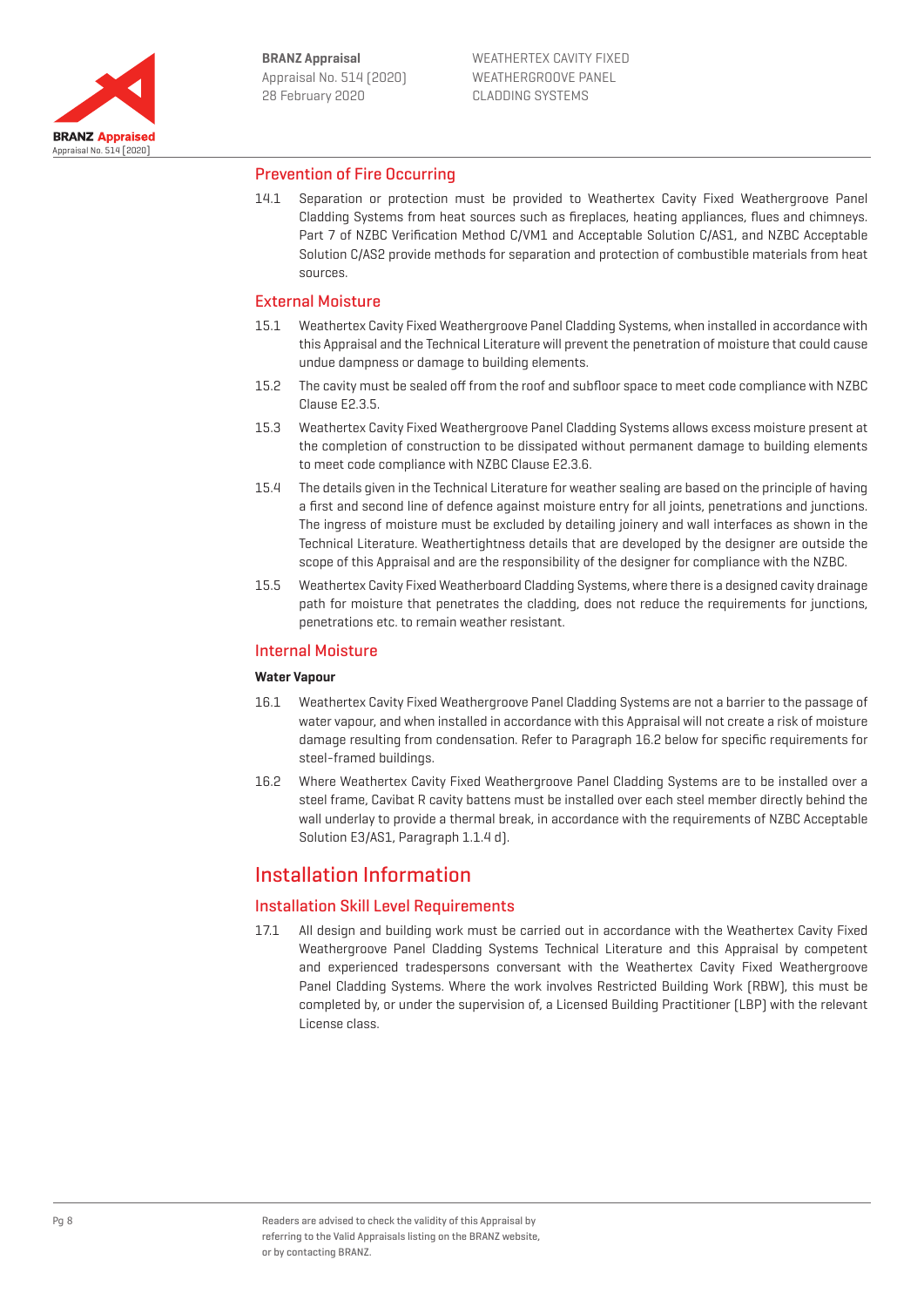

## Prevention of Fire Occurring

14.1 Separation or protection must be provided to Weathertex Cavity Fixed Weathergroove Panel Cladding Systems from heat sources such as fireplaces, heating appliances, flues and chimneys. Part 7 of NZBC Verification Method C/VM1 and Acceptable Solution C/AS1, and NZBC Acceptable Solution C/AS2 provide methods for separation and protection of combustible materials from heat sources.

## External Moisture

- 15.1 Weathertex Cavity Fixed Weathergroove Panel Cladding Systems, when installed in accordance with this Appraisal and the Technical Literature will prevent the penetration of moisture that could cause undue dampness or damage to building elements.
- 15.2 The cavity must be sealed off from the roof and subfloor space to meet code compliance with NZBC Clause E2.3.5.
- 15.3 Weathertex Cavity Fixed Weathergroove Panel Cladding Systems allows excess moisture present at the completion of construction to be dissipated without permanent damage to building elements to meet code compliance with NZBC Clause E2.3.6.
- 15.4 The details given in the Technical Literature for weather sealing are based on the principle of having a first and second line of defence against moisture entry for all joints, penetrations and junctions. The ingress of moisture must be excluded by detailing joinery and wall interfaces as shown in the Technical Literature. Weathertightness details that are developed by the designer are outside the scope of this Appraisal and are the responsibility of the designer for compliance with the NZBC.
- 15.5 Weathertex Cavity Fixed Weatherboard Cladding Systems, where there is a designed cavity drainage path for moisture that penetrates the cladding, does not reduce the requirements for junctions, penetrations etc. to remain weather resistant.

#### Internal Moisture

#### **Water Vapour**

- 16.1 Weathertex Cavity Fixed Weathergroove Panel Cladding Systems are not a barrier to the passage of water vapour, and when installed in accordance with this Appraisal will not create a risk of moisture damage resulting from condensation. Refer to Paragraph 16.2 below for specific requirements for steel-framed buildings.
- 16.2 Where Weathertex Cavity Fixed Weathergroove Panel Cladding Systems are to be installed over a steel frame, Cavibat R cavity battens must be installed over each steel member directly behind the wall underlay to provide a thermal break, in accordance with the requirements of NZBC Acceptable Solution E3/AS1, Paragraph 1.1.4 d).

## Installation Information

## Installation Skill Level Requirements

17.1 All design and building work must be carried out in accordance with the Weathertex Cavity Fixed Weathergroove Panel Cladding Systems Technical Literature and this Appraisal by competent and experienced tradespersons conversant with the Weathertex Cavity Fixed Weathergroove Panel Cladding Systems. Where the work involves Restricted Building Work (RBW), this must be completed by, or under the supervision of, a Licensed Building Practitioner (LBP) with the relevant License class.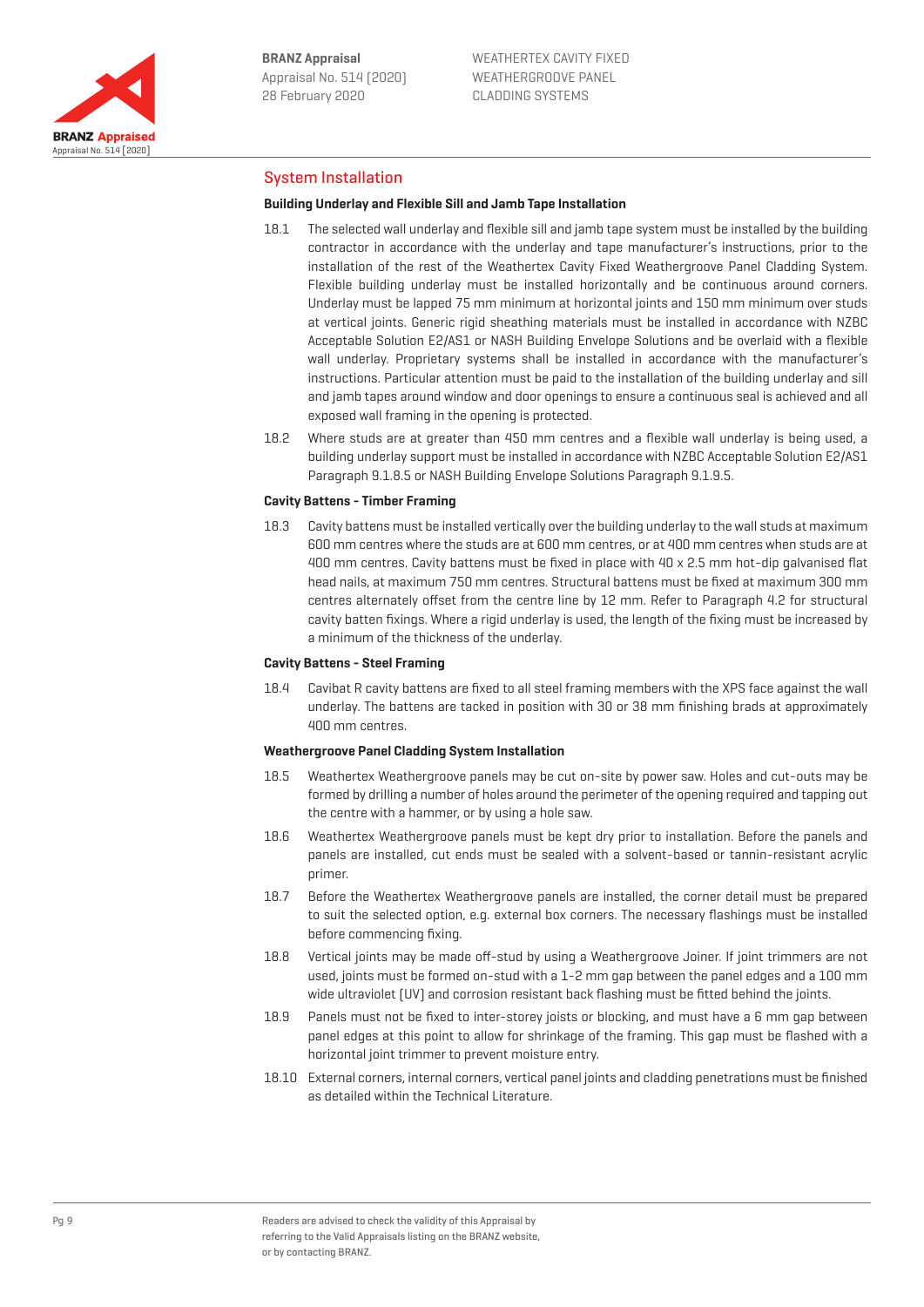

## System Installation

#### **Building Underlay and Flexible Sill and Jamb Tape Installation**

- 18.1 The selected wall underlay and flexible sill and jamb tape system must be installed by the building contractor in accordance with the underlay and tape manufacturer's instructions, prior to the installation of the rest of the Weathertex Cavity Fixed Weathergroove Panel Cladding System. Flexible building underlay must be installed horizontally and be continuous around corners. Underlay must be lapped 75 mm minimum at horizontal joints and 150 mm minimum over studs at vertical joints. Generic rigid sheathing materials must be installed in accordance with NZBC Acceptable Solution E2/AS1 or NASH Building Envelope Solutions and be overlaid with a flexible wall underlay. Proprietary systems shall be installed in accordance with the manufacturer's instructions. Particular attention must be paid to the installation of the building underlay and sill and jamb tapes around window and door openings to ensure a continuous seal is achieved and all exposed wall framing in the opening is protected.
- 18.2 Where studs are at greater than 450 mm centres and a flexible wall underlay is being used, a building underlay support must be installed in accordance with NZBC Acceptable Solution E2/AS1 Paragraph 9.1.8.5 or NASH Building Envelope Solutions Paragraph 9.1.9.5.

#### **Cavity Battens - Timber Framing**

18.3 Cavity battens must be installed vertically over the building underlay to the wall studs at maximum 600 mm centres where the studs are at 600 mm centres, or at 400 mm centres when studs are at 400 mm centres. Cavity battens must be fixed in place with 40 x 2.5 mm hot-dip galvanised flat head nails, at maximum 750 mm centres. Structural battens must be fixed at maximum 300 mm centres alternately offset from the centre line by 12 mm. Refer to Paragraph 4.2 for structural cavity batten fixings. Where a rigid underlay is used, the length of the fixing must be increased by a minimum of the thickness of the underlay.

#### **Cavity Battens - Steel Framing**

18.4 Cavibat R cavity battens are fixed to all steel framing members with the XPS face against the wall underlay. The battens are tacked in position with 30 or 38 mm finishing brads at approximately 400 mm centres.

#### **Weathergroove Panel Cladding System Installation**

- 18.5 Weathertex Weathergroove panels may be cut on-site by power saw. Holes and cut-outs may be formed by drilling a number of holes around the perimeter of the opening required and tapping out the centre with a hammer, or by using a hole saw.
- 18.6 Weathertex Weathergroove panels must be kept dry prior to installation. Before the panels and panels are installed, cut ends must be sealed with a solvent-based or tannin-resistant acrylic primer.
- 18.7 Before the Weathertex Weathergroove panels are installed, the corner detail must be prepared to suit the selected option, e.g. external box corners. The necessary flashings must be installed before commencing fixing.
- 18.8 Vertical joints may be made off-stud by using a Weathergroove Joiner. If joint trimmers are not used, joints must be formed on-stud with a 1-2 mm gap between the panel edges and a 100 mm wide ultraviolet (UV) and corrosion resistant back flashing must be fitted behind the joints.
- 18.9 Panels must not be fixed to inter-storey joists or blocking, and must have a 6 mm gap between panel edges at this point to allow for shrinkage of the framing. This gap must be flashed with a horizontal joint trimmer to prevent moisture entry.
- 18.10 External corners, internal corners, vertical panel joints and cladding penetrations must be finished as detailed within the Technical Literature.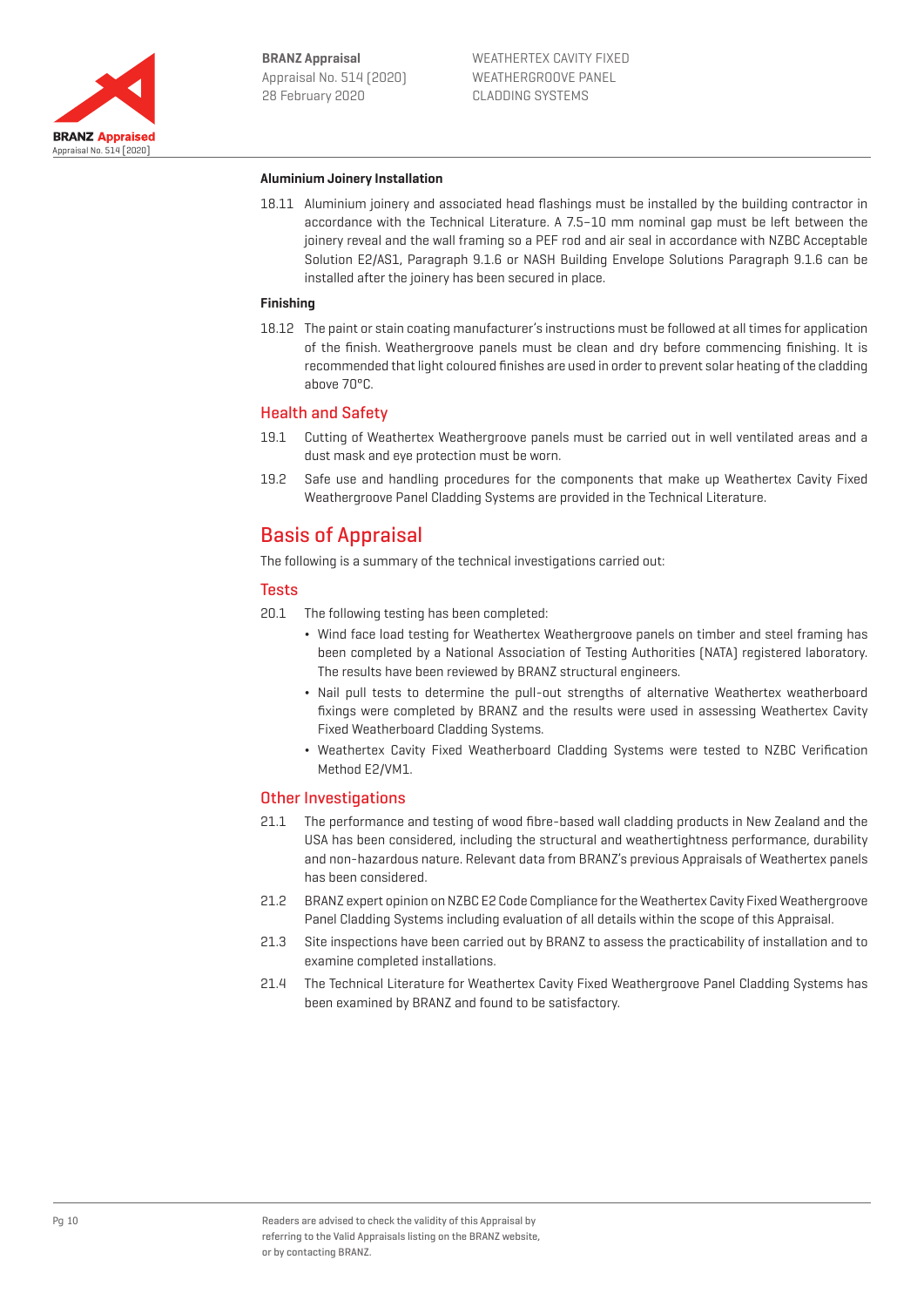

#### **Aluminium Joinery Installation**

18.11 Aluminium joinery and associated head flashings must be installed by the building contractor in accordance with the Technical Literature. A 7.5–10 mm nominal gap must be left between the joinery reveal and the wall framing so a PEF rod and air seal in accordance with NZBC Acceptable Solution E2/AS1, Paragraph 9.1.6 or NASH Building Envelope Solutions Paragraph 9.1.6 can be installed after the joinery has been secured in place.

#### **Finishing**

18.12 The paint or stain coating manufacturer's instructions must be followed at all times for application of the finish. Weathergroove panels must be clean and dry before commencing finishing. It is recommended that light coloured finishes are used in order to prevent solar heating of the cladding above 70°C.

#### Health and Safety

- 19.1 Cutting of Weathertex Weathergroove panels must be carried out in well ventilated areas and a dust mask and eye protection must be worn.
- 19.2 Safe use and handling procedures for the components that make up Weathertex Cavity Fixed Weathergroove Panel Cladding Systems are provided in the Technical Literature.

## Basis of Appraisal

The following is a summary of the technical investigations carried out:

## Tests

- 20.1 The following testing has been completed:
	- ¬ Wind face load testing for Weathertex Weathergroove panels on timber and steel framing has been completed by a National Association of Testing Authorities (NATA) registered laboratory. The results have been reviewed by BRANZ structural engineers.
	- ¬ Nail pull tests to determine the pull-out strengths of alternative Weathertex weatherboard fixings were completed by BRANZ and the results were used in assessing Weathertex Cavity Fixed Weatherboard Cladding Systems.
	- ¬ Weathertex Cavity Fixed Weatherboard Cladding Systems were tested to NZBC Verification Method E2/VM1.

## Other Investigations

- 21.1 The performance and testing of wood fibre-based wall cladding products in New Zealand and the USA has been considered, including the structural and weathertightness performance, durability and non-hazardous nature. Relevant data from BRANZ's previous Appraisals of Weathertex panels has been considered.
- 21.2 BRANZ expert opinion on NZBC E2 Code Compliance for the Weathertex Cavity Fixed Weathergroove Panel Cladding Systems including evaluation of all details within the scope of this Appraisal.
- 21.3 Site inspections have been carried out by BRANZ to assess the practicability of installation and to examine completed installations.
- 21.4 The Technical Literature for Weathertex Cavity Fixed Weathergroove Panel Cladding Systems has been examined by BRANZ and found to be satisfactory.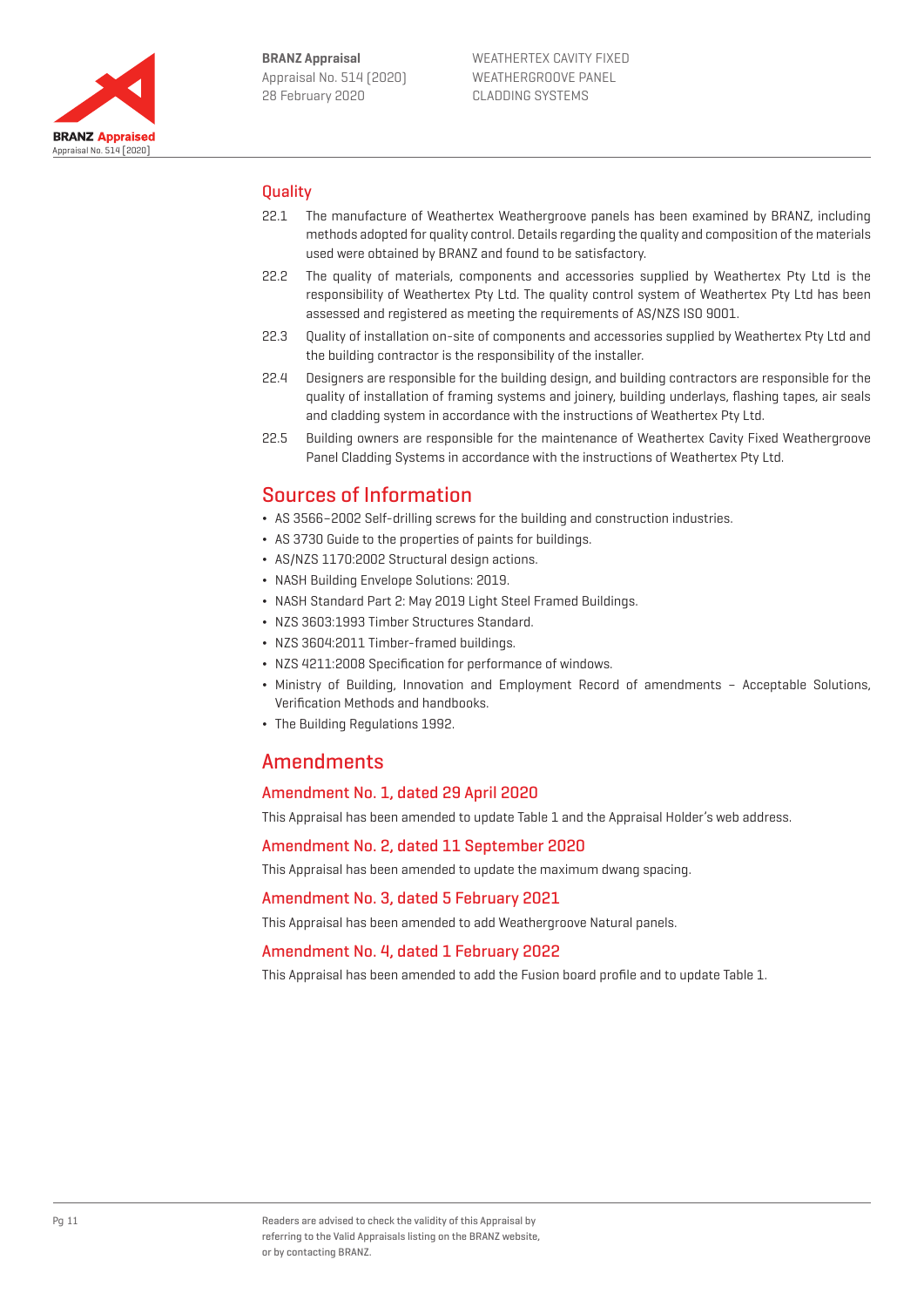

## **Quality**

- 22.1 The manufacture of Weathertex Weathergroove panels has been examined by BRANZ, including methods adopted for quality control. Details regarding the quality and composition of the materials used were obtained by BRANZ and found to be satisfactory.
- 22.2 The quality of materials, components and accessories supplied by Weathertex Pty Ltd is the responsibility of Weathertex Pty Ltd. The quality control system of Weathertex Pty Ltd has been assessed and registered as meeting the requirements of AS/NZS ISO 9001.
- 22.3 Quality of installation on-site of components and accessories supplied by Weathertex Pty Ltd and the building contractor is the responsibility of the installer.
- 22.4 Designers are responsible for the building design, and building contractors are responsible for the quality of installation of framing systems and joinery, building underlays, flashing tapes, air seals and cladding system in accordance with the instructions of Weathertex Pty Ltd.
- 22.5 Building owners are responsible for the maintenance of Weathertex Cavity Fixed Weathergroove Panel Cladding Systems in accordance with the instructions of Weathertex Pty Ltd.

## Sources of Information

- ¬ AS 3566–2002 Self-drilling screws for the building and construction industries.
- ¬ AS 3730 Guide to the properties of paints for buildings.
- ¬ AS/NZS 1170:2002 Structural design actions.
- ¬ NASH Building Envelope Solutions: 2019.
- ¬ NASH Standard Part 2: May 2019 Light Steel Framed Buildings.
- ¬ NZS 3603:1993 Timber Structures Standard.
- ¬ NZS 3604:2011 Timber-framed buildings.
- ¬ NZS 4211:2008 Specification for performance of windows.
- ¬ Ministry of Building, Innovation and Employment Record of amendments Acceptable Solutions, Verification Methods and handbooks.
- ¬ The Building Regulations 1992.

## Amendments

## Amendment No. 1, dated 29 April 2020

This Appraisal has been amended to update Table 1 and the Appraisal Holder's web address.

Amendment No. 2, dated 11 September 2020

This Appraisal has been amended to update the maximum dwang spacing.

## Amendment No. 3, dated 5 February 2021

This Appraisal has been amended to add Weathergroove Natural panels.

## Amendment No. 4, dated 1 February 2022

This Appraisal has been amended to add the Fusion board profile and to update Table 1.